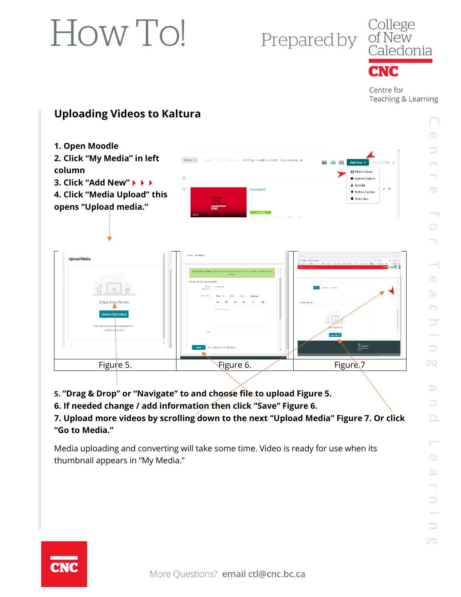# Prepared by



Centre for Teaching & Learning

> $\cap$  $\bigcirc$

### **Uploading Videos to Kaltura**



**5. "Drag & Drop" or "Navigate" to and choose file to upload Figure 5.**

**6. If needed change / add information then click "Save" Figure 6.**

**7. Upload more videos by scrolling down to the next "Upload Media" Figure 7. Or click "Go to Media."**

Media uploading and converting will take some time. Video is ready for use when its thumbnail appears in "My Media."

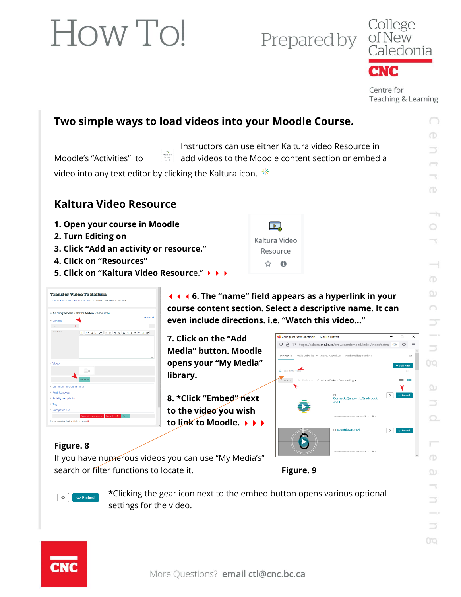Prepared by



Centre for Teaching & Learning

∩

## **Two simple ways to load videos into your Moodle Course.**

Instructors can use either Kaltura video Resource in Moodle's "Activities" to add videos to the Moodle content section or embed a video into any text editor by clicking the Kaltura icon.  $*$ 

#### **Kaltura Video Resource**

- **1. Open your course in Moodle**
- **2. Turn Editing on**
- **3. Click "Add an activity or resource."**
- **4. Click on "Resources"**
- **5. Click on "Kaltura Video Resourc**e."



**6. The "name" field appears as a hyperlink in your course content section. Select a descriptive name. It can even include directions. i.e. "Watch this video…"**

Filters >

College of New Caledonia - Mozilla Firefox

My Media Media Galleries v Shared Repository Media Ga

O A = https://kaltura.cnc.bc.ca/browseandembed/index/index/catnai 67% ☆ 三

**El countdown.mp** 

ect\_Quiz\_with\_Gradebook

冖 Kaltura Video Resource ☆ ❶

**7. Click on the "Add Media" button. Moodle opens your "My Media" library.**

**8. \*Click "Embed" next to the video you wish to link to Moodle.**

#### **Figure. 8**

If you have numerous videos you can use "My Media's" search or filter functions to locate it. **Figure. 9** 



 $\circ$  $\langle \rangle$  Embed

**\***Clicking the gear icon next to the embed button opens various optional settings for the video.



 $\overline{a}$ 

 $+$  Add New

 $\equiv$   $\equiv$ 

Y.  $\bullet$   $\phi$  Embed

 $\boxed{\bigcirc\hspace{-0.18cm} \diamond\hspace{-0.18cm}\circ\hspace{-0.18cm}\circ\hspace{-0.18cm}\circ\hspace{-0.18cm}\circ\hspace{-0.18cm}\circ\hspace{-0.18cm}\circ\hspace{-0.18cm}\circ\hspace{-0.18cm}\circ\hspace{-0.18cm}\circ\hspace{-0.18cm}\circ\hspace{-0.18cm}\circ\hspace{-0.18cm}\circ\hspace{-0.18cm}\circ\hspace{-0.18cm}\circ\hspace{-0.18cm}\circ\hspace{-0.18cm}\circ\hspace{-0.18cm}\circ\hspace{-0.18cm}\circ\hspace{-0$ 

 $\circ$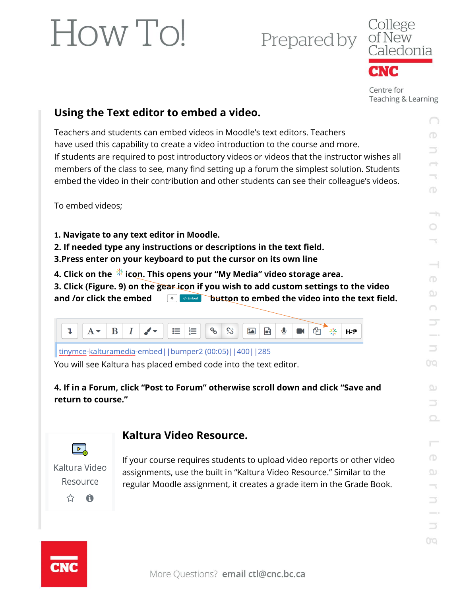Prepared by



Centre for Teaching & Learning

### **Using the Text editor to embed a video.**

Teachers and students can embed videos in Moodle's text editors. Teachers have used this capability to create a video introduction to the course and more. If students are required to post introductory videos or videos that the instructor wishes all members of the class to see, many find setting up a forum the simplest solution. Students embed the video in their contribution and other students can see their colleague's videos.

To embed videos;

**1. Navigate to any text editor in Moodle.**

- **2. If needed type any instructions or descriptions in the text field.**
- **3.Press enter on your keyboard to put the cursor on its own line**
- 4. Click on the  $\frac{4}{36}$  icon. This opens your "My Media" video storage area.

**3. Click (Figure. 9) on the gear icon if you wish to add custom settings to the video**  and /or click the embed  $\Box$   $\Box$   $\Box$   $\Box$   $\Box$   $\Box$  button to embed the video into the text field.



tinymce-kalturamedia-embed||bumper2 (00:05)||400||285

You will see Kaltura has placed embed code into the text editor.

**4. If in a Forum, click "Post to Forum" otherwise scroll down and click "Save and return to course."**

### **Kaltura Video Resource.**

 $\overline{\phantom{a}}$ Kaltura Video Resource ☆ A

If your course requires students to upload video reports or other video assignments, use the built in "Kaltura Video Resource." Similar to the regular Moodle assignment, it creates a grade item in the Grade Book.